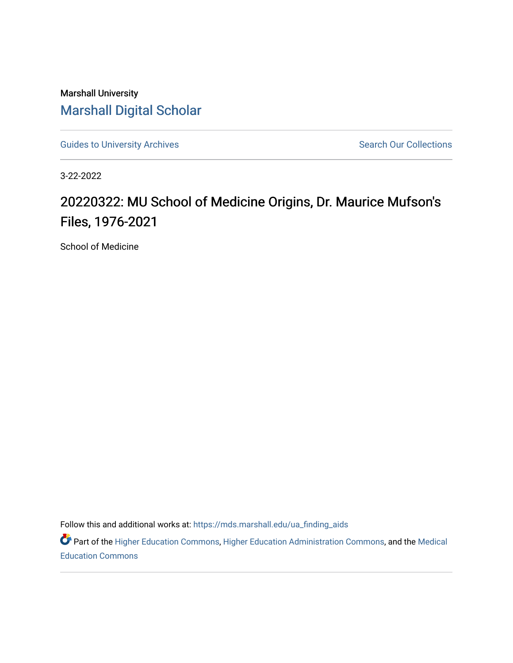Marshall University [Marshall Digital Scholar](https://mds.marshall.edu/)

[Guides to University Archives](https://mds.marshall.edu/ua_finding_aids) **Search Our Collections** Search Our Collections

3-22-2022

## 20220322: MU School of Medicine Origins, Dr. Maurice Mufson's Files, 1976-2021

School of Medicine

Follow this and additional works at: [https://mds.marshall.edu/ua\\_finding\\_aids](https://mds.marshall.edu/ua_finding_aids?utm_source=mds.marshall.edu%2Fua_finding_aids%2F73&utm_medium=PDF&utm_campaign=PDFCoverPages) 

Part of the [Higher Education Commons,](http://network.bepress.com/hgg/discipline/1245?utm_source=mds.marshall.edu%2Fua_finding_aids%2F73&utm_medium=PDF&utm_campaign=PDFCoverPages) [Higher Education Administration Commons,](http://network.bepress.com/hgg/discipline/791?utm_source=mds.marshall.edu%2Fua_finding_aids%2F73&utm_medium=PDF&utm_campaign=PDFCoverPages) and the [Medical](http://network.bepress.com/hgg/discipline/1125?utm_source=mds.marshall.edu%2Fua_finding_aids%2F73&utm_medium=PDF&utm_campaign=PDFCoverPages) [Education Commons](http://network.bepress.com/hgg/discipline/1125?utm_source=mds.marshall.edu%2Fua_finding_aids%2F73&utm_medium=PDF&utm_campaign=PDFCoverPages)